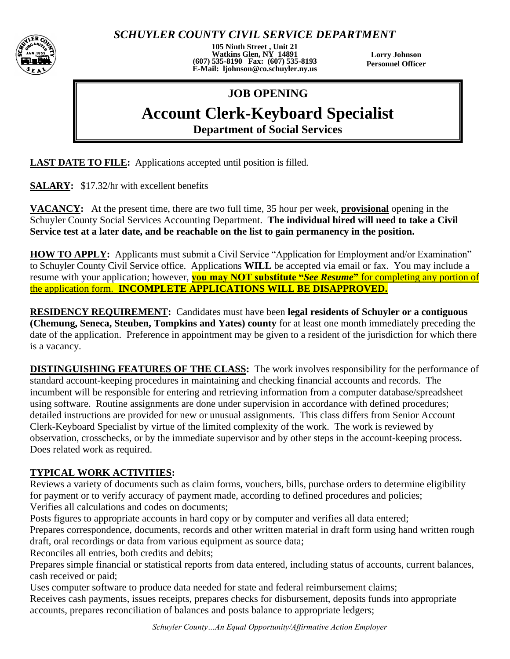*SCHUYLER COUNTY CIVIL SERVICE DEPARTMENT*



**105 Ninth Street , Unit 21 Watkins Glen, NY 14891 (607) 535-8190 Fax: (607) 535-8193 E-Mail: ljohnson@co.schuyler.ny.us**

**Lorry Johnson Personnel Officer**

## **JOB OPENING**

## **Account Clerk-Keyboard Specialist**

**Department of Social Services**

**LAST DATE TO FILE:** Applications accepted until position is filled.

**SALARY:** \$17.32/hr with excellent benefits

**VACANCY:** At the present time, there are two full time, 35 hour per week, **provisional** opening in the Schuyler County Social Services Accounting Department. **The individual hired will need to take a Civil Service test at a later date, and be reachable on the list to gain permanency in the position.**

**HOW TO APPLY:** Applicants must submit a Civil Service "Application for Employment and/or Examination" to Schuyler County Civil Service office. Applications **WILL** be accepted via email or fax. You may include a resume with your application; however, **you may NOT substitute "***See Resume***"** for completing any portion of the application form. **INCOMPLETE APPLICATIONS WILL BE DISAPPROVED.**

**RESIDENCY REQUIREMENT:** Candidates must have been **legal residents of Schuyler or a contiguous (Chemung, Seneca, Steuben, Tompkins and Yates) county** for at least one month immediately preceding the date of the application. Preference in appointment may be given to a resident of the jurisdiction for which there is a vacancy.

**DISTINGUISHING FEATURES OF THE CLASS:** The work involves responsibility for the performance of standard account-keeping procedures in maintaining and checking financial accounts and records. The incumbent will be responsible for entering and retrieving information from a computer database/spreadsheet using software. Routine assignments are done under supervision in accordance with defined procedures; detailed instructions are provided for new or unusual assignments. This class differs from Senior Account Clerk-Keyboard Specialist by virtue of the limited complexity of the work. The work is reviewed by observation, crosschecks, or by the immediate supervisor and by other steps in the account-keeping process. Does related work as required.

## **TYPICAL WORK ACTIVITIES:**

Reviews a variety of documents such as claim forms, vouchers, bills, purchase orders to determine eligibility for payment or to verify accuracy of payment made, according to defined procedures and policies; Verifies all calculations and codes on documents;

Posts figures to appropriate accounts in hard copy or by computer and verifies all data entered;

Prepares correspondence, documents, records and other written material in draft form using hand written rough draft, oral recordings or data from various equipment as source data;

Reconciles all entries, both credits and debits;

Prepares simple financial or statistical reports from data entered, including status of accounts, current balances, cash received or paid;

Uses computer software to produce data needed for state and federal reimbursement claims; Receives cash payments, issues receipts, prepares checks for disbursement, deposits funds into appropriate accounts, prepares reconciliation of balances and posts balance to appropriate ledgers;